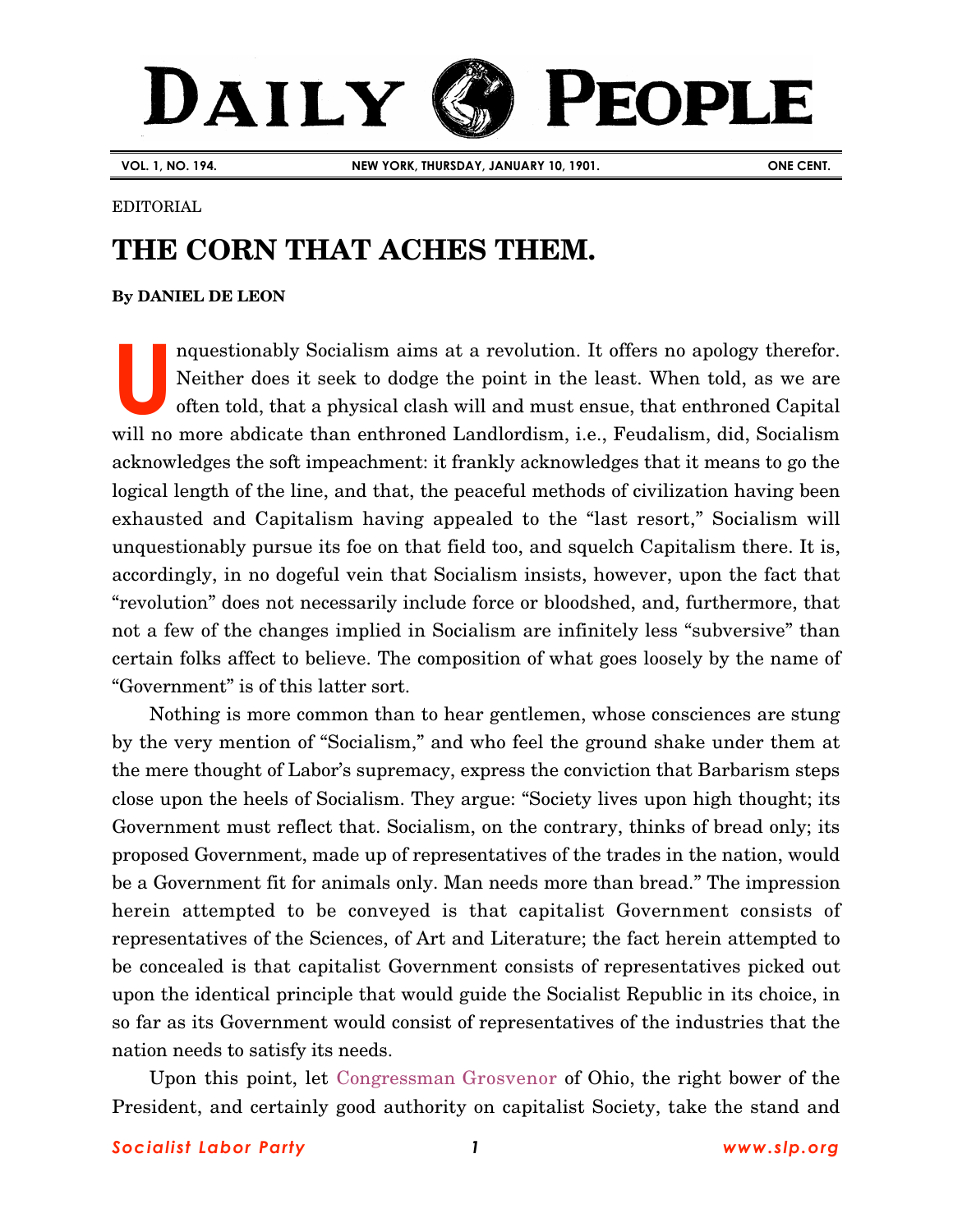# DAILY **PEOPLE**

**VOL. 1, NO. 194. NEW YORK, THURSDAY, JANUARY 10, 1901. ONE CENT.**

#### EDITORIAL

## **THE CORN THAT ACHES THEM.**

### **B[y DANIEL DE LEON](http://www.slp.org/De_Leon.htm)**

nquestionably Socialism aims at a revolution. It offers no apology therefor. Neither does it seek to dodge the point in the least. When told, as we are often told, that a physical clash will and must ensue, that enthroned Capital will no more abdicate than enthroned Landlordism, i.e., Feudalism, did, Socialism acknowledges the soft impeachment: it frankly acknowledges that it means to go the logical length of the line, and that, the peaceful methods of civilization having been exhausted and Capitalism having appealed to the "last resort," Socialism will unquestionably pursue its foe on that field too, and squelch Capitalism there. It is, accordingly, in no dogeful vein that Socialism insists, however, upon the fact that "revolution" does not necessarily include force or bloodshed, and, furthermore, that not a few of the changes implied in Socialism are infinitely less "subversive" than certain folks affect to believe. The composition of what goes loosely by the name of "Government" is of this latter sort. **U**

Nothing is more common than to hear gentlemen, whose consciences are stung by the very mention of "Socialism," and who feel the ground shake under them at the mere thought of Labor's supremacy, express the conviction that Barbarism steps close upon the heels of Socialism. They argue: "Society lives upon high thought; its Government must reflect that. Socialism, on the contrary, thinks of bread only; its proposed Government, made up of representatives of the trades in the nation, would be a Government fit for animals only. Man needs more than bread." The impression herein attempted to be conveyed is that capitalist Government consists of representatives of the Sciences, of Art and Literature; the fact herein attempted to be concealed is that capitalist Government consists of representatives picked out upon the identical principle that would guide the Socialist Republic in its choice, in so far as its Government would consist of representatives of the industries that the nation needs to satisfy its needs.

Upon this point, let [Congressman Grosvenor](http://bioguide.congress.gov/scripts/biodisplay.pl?index=G000497) of Ohio, the right bower of the President, and certainly good authority on capitalist Society, take the stand and

### *Socialist Labor Party 1 [www.slp.org](http://www.slp.org/)*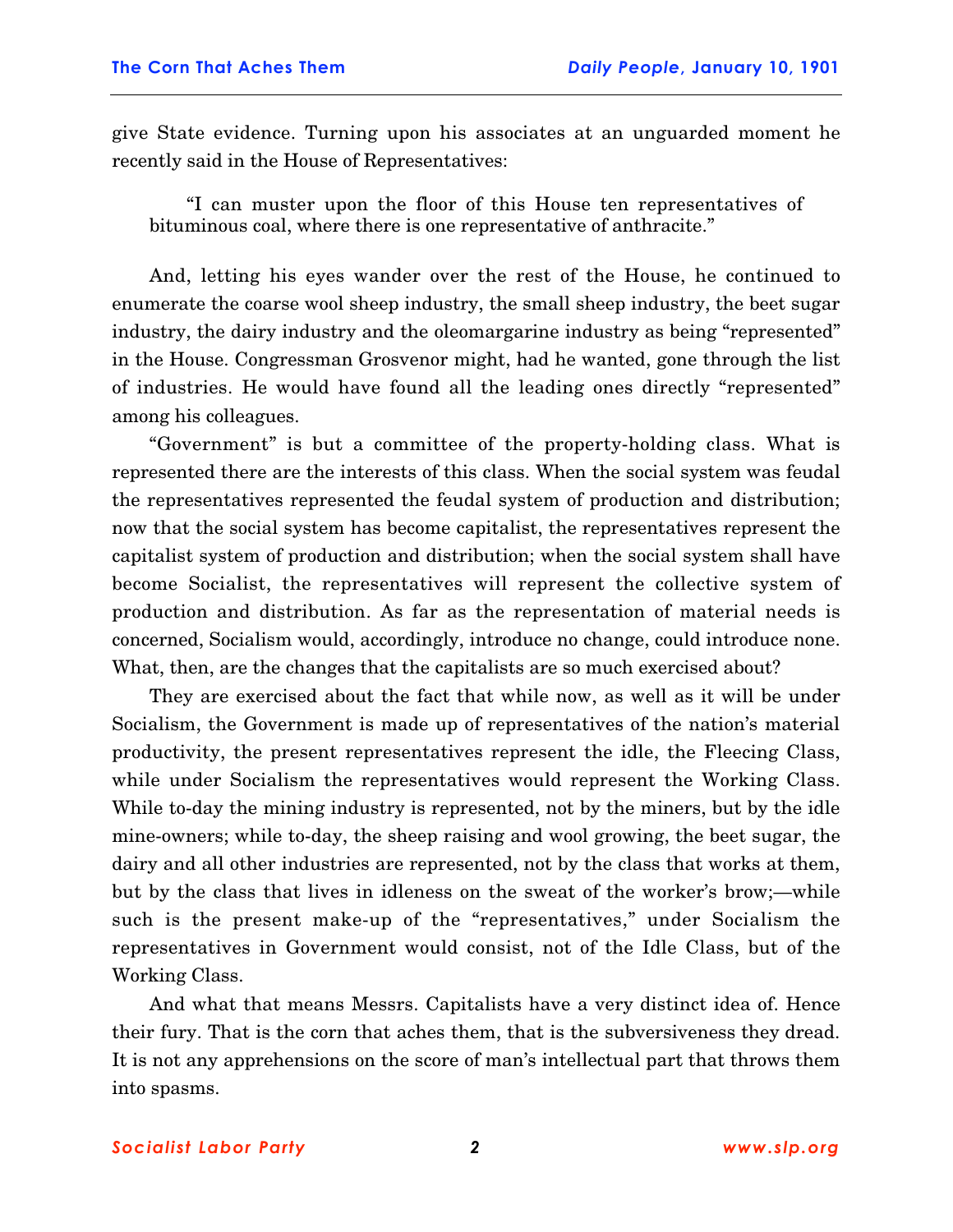give State evidence. Turning upon his associates at an unguarded moment he recently said in the House of Representatives:

"I can muster upon the floor of this House ten representatives of bituminous coal, where there is one representative of anthracite."

And, letting his eyes wander over the rest of the House, he continued to enumerate the coarse wool sheep industry, the small sheep industry, the beet sugar industry, the dairy industry and the oleomargarine industry as being "represented" in the House. Congressman Grosvenor might, had he wanted, gone through the list of industries. He would have found all the leading ones directly "represented" among his colleagues.

"Government" is but a committee of the property-holding class. What is represented there are the interests of this class. When the social system was feudal the representatives represented the feudal system of production and distribution; now that the social system has become capitalist, the representatives represent the capitalist system of production and distribution; when the social system shall have become Socialist, the representatives will represent the collective system of production and distribution. As far as the representation of material needs is concerned, Socialism would, accordingly, introduce no change, could introduce none. What, then, are the changes that the capitalists are so much exercised about?

They are exercised about the fact that while now, as well as it will be under Socialism, the Government is made up of representatives of the nation's material productivity, the present representatives represent the idle, the Fleecing Class, while under Socialism the representatives would represent the Working Class. While to-day the mining industry is represented, not by the miners, but by the idle mine-owners; while to-day, the sheep raising and wool growing, the beet sugar, the dairy and all other industries are represented, not by the class that works at them, but by the class that lives in idleness on the sweat of the worker's brow;—while such is the present make-up of the "representatives," under Socialism the representatives in Government would consist, not of the Idle Class, but of the Working Class.

And what that means Messrs. Capitalists have a very distinct idea of. Hence their fury. That is the corn that aches them, that is the subversiveness they dread. It is not any apprehensions on the score of man's intellectual part that throws them into spasms.